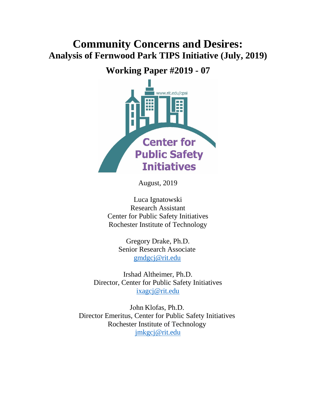# **Community Concerns and Desires: Analysis of Fernwood Park TIPS Initiative (July, 2019)**

## **Working Paper #2019 - 07**



August, 2019

Luca Ignatowski Research Assistant Center for Public Safety Initiatives Rochester Institute of Technology

> Gregory Drake, Ph.D. Senior Research Associate [gmdgcj@rit.edu](mailto:gmd3165@rit.edu)

Irshad Altheimer, Ph.D. Director, Center for Public Safety Initiatives [ixagcj@rit.edu](mailto:ixagcj@rit.edu)

John Klofas, Ph.D. Director Emeritus, Center for Public Safety Initiatives Rochester Institute of Technology [jmkgcj@rit.edu](mailto:jmkgcj@rit.edu)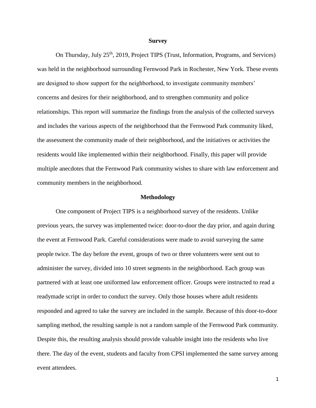#### **Survey**

On Thursday, July 25<sup>th</sup>, 2019, Project TIPS (Trust, Information, Programs, and Services) was held in the neighborhood surrounding Fernwood Park in Rochester, New York. These events are designed to show support for the neighborhood, to investigate community members' concerns and desires for their neighborhood, and to strengthen community and police relationships. This report will summarize the findings from the analysis of the collected surveys and includes the various aspects of the neighborhood that the Fernwood Park community liked, the assessment the community made of their neighborhood, and the initiatives or activities the residents would like implemented within their neighborhood. Finally, this paper will provide multiple anecdotes that the Fernwood Park community wishes to share with law enforcement and community members in the neighborhood.

#### **Methodology**

One component of Project TIPS is a neighborhood survey of the residents. Unlike previous years, the survey was implemented twice: door-to-door the day prior, and again during the event at Fernwood Park. Careful considerations were made to avoid surveying the same people twice. The day before the event, groups of two or three volunteers were sent out to administer the survey, divided into 10 street segments in the neighborhood. Each group was partnered with at least one uniformed law enforcement officer. Groups were instructed to read a readymade script in order to conduct the survey. Only those houses where adult residents responded and agreed to take the survey are included in the sample. Because of this door-to-door sampling method, the resulting sample is not a random sample of the Fernwood Park community. Despite this, the resulting analysis should provide valuable insight into the residents who live there. The day of the event, students and faculty from CPSI implemented the same survey among event attendees.

1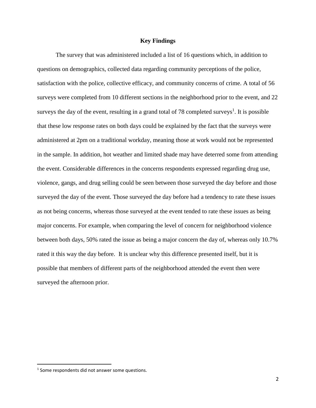#### **Key Findings**

The survey that was administered included a list of 16 questions which, in addition to questions on demographics, collected data regarding community perceptions of the police, satisfaction with the police, collective efficacy, and community concerns of crime. A total of 56 surveys were completed from 10 different sections in the neighborhood prior to the event, and 22 surveys the day of the event, resulting in a grand total of 78 completed surveys<sup>1</sup>. It is possible that these low response rates on both days could be explained by the fact that the surveys were administered at 2pm on a traditional workday, meaning those at work would not be represented in the sample. In addition, hot weather and limited shade may have deterred some from attending the event. Considerable differences in the concerns respondents expressed regarding drug use, violence, gangs, and drug selling could be seen between those surveyed the day before and those surveyed the day of the event. Those surveyed the day before had a tendency to rate these issues as not being concerns, whereas those surveyed at the event tended to rate these issues as being major concerns. For example, when comparing the level of concern for neighborhood violence between both days, 50% rated the issue as being a major concern the day of, whereas only 10.7% rated it this way the day before. It is unclear why this difference presented itself, but it is possible that members of different parts of the neighborhood attended the event then were surveyed the afternoon prior.

 $\overline{\phantom{a}}$ 

 $<sup>1</sup>$  Some respondents did not answer some questions.</sup>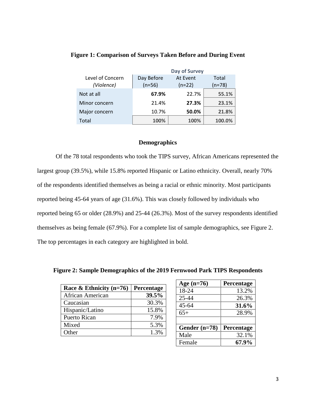|                  | Day of Survey |          |          |  |  |
|------------------|---------------|----------|----------|--|--|
| Level of Concern | Day Before    | At Event | Total    |  |  |
| (Violence)       | $(n=56)$      | $(n=22)$ | $(n=78)$ |  |  |
| Not at all       | 67.9%         | 22.7%    | 55.1%    |  |  |
| Minor concern    | 21.4%         | 27.3%    | 23.1%    |  |  |
| Major concern    | 10.7%         | 50.0%    | 21.8%    |  |  |
| Total            | 100%          | 100%     | 100.0%   |  |  |

### **Figure 1: Comparison of Surveys Taken Before and During Event**

#### **Demographics**

Of the 78 total respondents who took the TIPS survey, African Americans represented the largest group (39.5%), while 15.8% reported Hispanic or Latino ethnicity. Overall, nearly 70% of the respondents identified themselves as being a racial or ethnic minority. Most participants reported being 45-64 years of age (31.6%). This was closely followed by individuals who reported being 65 or older (28.9%) and 25-44 (26.3%). Most of the survey respondents identified themselves as being female (67.9%). For a complete list of sample demographics, see Figure 2. The top percentages in each category are highlighted in bold.

| Race & Ethnicity $(n=76)$ | Percentage |
|---------------------------|------------|
| African American          | 39.5%      |
| Caucasian                 | 30.3%      |
| Hispanic/Latino           | 15.8%      |
| Puerto Rican              | 7.9%       |
| Mixed                     | 5.3%       |
| Other                     | 1.3%       |

| Age (n=76)      | Percentage |
|-----------------|------------|
| 18-24           | 13.2%      |
| 25-44           | 26.3%      |
| $45 - 64$       | 31.6%      |
| $65+$           | 28.9%      |
|                 |            |
| Gender $(n=78)$ | Percentage |
| Male            | 32.1%      |
| Female          | 67.9%      |

**Figure 2: Sample Demographics of the 2019 Fernwood Park TIPS Respondents**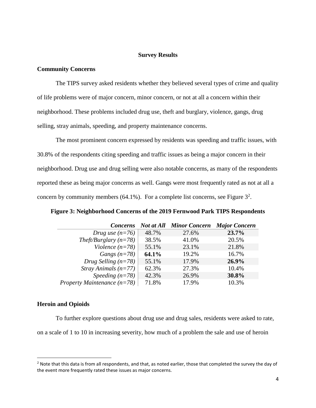#### **Survey Results**

#### **Community Concerns**

The TIPS survey asked residents whether they believed several types of crime and quality of life problems were of major concern, minor concern, or not at all a concern within their neighborhood. These problems included drug use, theft and burglary, violence, gangs, drug selling, stray animals, speeding, and property maintenance concerns.

The most prominent concern expressed by residents was speeding and traffic issues, with 30.8% of the respondents citing speeding and traffic issues as being a major concern in their neighborhood. Drug use and drug selling were also notable concerns, as many of the respondents reported these as being major concerns as well. Gangs were most frequently rated as not at all a concern by community members (64.1%). For a complete list concerns, see Figure  $3^2$ .

| <b>Concerns</b>               |       | <b>Not at All Minor Concern</b> | <b>Major Concern</b> |
|-------------------------------|-------|---------------------------------|----------------------|
| Drug use $(n=76)$             | 48.7% | 27.6%                           | 23.7%                |
| Theft/Burglary $(n=78)$       | 38.5% | 41.0%                           | 20.5%                |
| Violence $(n=78)$             | 55.1% | 23.1%                           | 21.8%                |
| Gangs $(n=78)$                | 64.1% | 19.2%                           | 16.7%                |
| Drug Selling $(n=78)$         | 55.1% | 17.9%                           | 26.9%                |
| <i>Stray Animals</i> $(n=77)$ | 62.3% | 27.3%                           | 10.4%                |
| Speeding $(n=78)$             | 42.3% | 26.9%                           | 30.8%                |
| Property Maintenance $(n=78)$ | 71.8% | 17.9%                           | 10.3%                |

**Figure 3: Neighborhood Concerns of the 2019 Fernwood Park TIPS Respondents**

#### **Heroin and Opioids**

 $\overline{a}$ 

To further explore questions about drug use and drug sales, residents were asked to rate,

on a scale of 1 to 10 in increasing severity, how much of a problem the sale and use of heroin

 $2$  Note that this data is from all respondents, and that, as noted earlier, those that completed the survey the day of the event more frequently rated these issues as major concerns.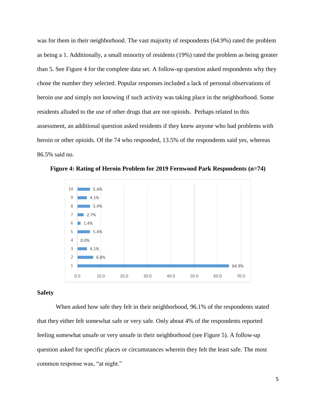was for them in their neighborhood. The vast majority of respondents (64.9%) rated the problem as being a 1. Additionally, a small minority of residents (19%) rated the problem as being greater than 5. See Figure 4 for the complete data set. A follow-up question asked respondents why they chose the number they selected. Popular responses included a lack of personal observations of heroin use and simply not knowing if such activity was taking place in the neighborhood. Some residents alluded to the use of other drugs that are not opioids. Perhaps related to this assessment, an additional question asked residents if they knew anyone who had problems with heroin or other opioids. Of the 74 who responded, 13.5% of the respondents said yes, whereas 86.5% said no.



**Figure 4: Rating of Heroin Problem for 2019 Fernwood Park Respondents (n=74)**

#### **Safety**

When asked how safe they felt in their neighborhood, 96.1% of the respondents stated that they either felt somewhat safe or very safe. Only about 4% of the respondents reported feeling somewhat unsafe or very unsafe in their neighborhood (see Figure 5). A follow-up question asked for specific places or circumstances wherein they felt the least safe. The most common response was, "at night."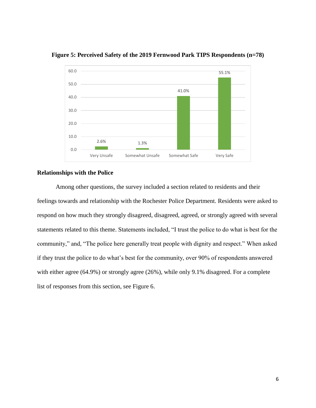

**Figure 5: Perceived Safety of the 2019 Fernwood Park TIPS Respondents (n=78)**

#### **Relationships with the Police**

Among other questions, the survey included a section related to residents and their feelings towards and relationship with the Rochester Police Department. Residents were asked to respond on how much they strongly disagreed, disagreed, agreed, or strongly agreed with several statements related to this theme. Statements included, "I trust the police to do what is best for the community," and, "The police here generally treat people with dignity and respect." When asked if they trust the police to do what's best for the community, over 90% of respondents answered with either agree (64.9%) or strongly agree (26%), while only 9.1% disagreed. For a complete list of responses from this section, see Figure 6.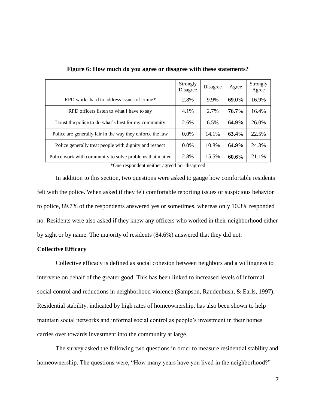|                                                           | Strongly<br>Disagree | Disagree | Agree | Strongly<br>Agree |
|-----------------------------------------------------------|----------------------|----------|-------|-------------------|
| RPD works hard to address issues of crime*                | 2.8%                 | 9.9%     | 69.0% | 16.9%             |
| RPD officers listen to what I have to say                 | 4.1%                 | 2.7%     | 76.7% | 16.4%             |
| I trust the police to do what's best for my community     | 2.6%                 | 6.5%     | 64.9% | 26.0%             |
| Police are generally fair in the way they enforce the law | $0.0\%$              | 14.1%    | 63.4% | 22.5%             |
| Police generally treat people with dignity and respect    | $0.0\%$              | 10.8%    | 64.9% | 24.3%             |
| Police work with community to solve problems that matter  | 2.8%                 | 15.5%    | 60.6% | 21.1%             |

**Figure 6: How much do you agree or disagree with these statements?**

\*One respondent neither agreed nor disagreed

In addition to this section, two questions were asked to gauge how comfortable residents felt with the police. When asked if they felt comfortable reporting issues or suspicious behavior to police, 89.7% of the respondents answered yes or sometimes, whereas only 10.3% responded no. Residents were also asked if they knew any officers who worked in their neighborhood either by sight or by name. The majority of residents (84.6%) answered that they did not.

#### **Collective Efficacy**

Collective efficacy is defined as social cohesion between neighbors and a willingness to intervene on behalf of the greater good. This has been linked to increased levels of informal social control and reductions in neighborhood violence (Sampson, Raudenbush, & Earls, 1997). Residential stability, indicated by high rates of homeownership, has also been shown to help maintain social networks and informal social control as people's investment in their homes carries over towards investment into the community at large.

The survey asked the following two questions in order to measure residential stability and homeownership. The questions were, "How many years have you lived in the neighborhood?"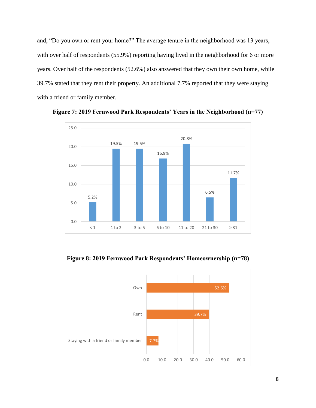and, "Do you own or rent your home?" The average tenure in the neighborhood was 13 years, with over half of respondents (55.9%) reporting having lived in the neighborhood for 6 or more years. Over half of the respondents (52.6%) also answered that they own their own home, while 39.7% stated that they rent their property. An additional 7.7% reported that they were staying with a friend or family member.



**Figure 7: 2019 Fernwood Park Respondents' Years in the Neighborhood (n=77)**



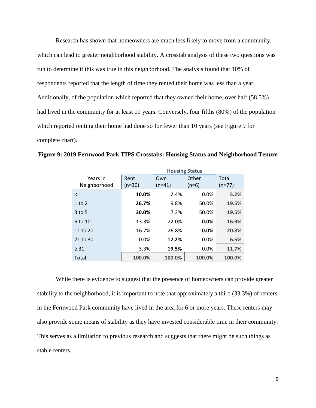Research has shown that homeowners are much less likely to move from a community, which can lead to greater neighborhood stability. A crosstab analysis of these two questions was run to determine if this was true in this neighborhood. The analysis found that 10% of respondents reported that the length of time they rented their home was less than a year. Additionally, of the population which reported that they owned their home, over half (58.5%) had lived in the community for at least 11 years. Conversely, four fifths (80%) of the population which reported renting their home had done so for fewer than 10 years (see Figure 9 for complete chart).

|                          | <b>Housing Status</b>               |        |                  |                 |  |
|--------------------------|-------------------------------------|--------|------------------|-----------------|--|
| Years in<br>Neighborhood | Rent<br>Own<br>$(n=30)$<br>$(n=41)$ |        | Other<br>$(n=6)$ | Total<br>(n=77) |  |
| $\leq 1$                 | 10.0%                               | 2.4%   | 0.0%             | 5.2%            |  |
| $1$ to $2$               | 26.7%                               | 9.8%   | 50.0%            | 19.5%           |  |
| $3$ to 5                 | 30.0%                               | 7.3%   | 50.0%            | 19.5%           |  |
| 6 to 10                  | 13.3%                               | 22.0%  | 0.0%             | 16.9%           |  |
| 11 to 20                 | 16.7%                               | 26.8%  | 0.0%             | 20.8%           |  |
| 21 to 30                 | 0.0%                                | 12.2%  | 0.0%             | 6.5%            |  |
| $\geq$ 31                | 3.3%                                | 19.5%  | 0.0%             | 11.7%           |  |
| Total                    | 100.0%                              | 100.0% | 100.0%           | 100.0%          |  |

**Figure 9: 2019 Fernwood Park TIPS Crosstabs: Housing Status and Neighborhood Tenure**

While there is evidence to suggest that the presence of homeowners can provide greater stability to the neighborhood, it is important to note that approximately a third (33.3%) of renters in the Fernwood Park community have lived in the area for 6 or more years. These renters may also provide some means of stability as they have invested considerable time in their community. This serves as a limitation to previous research and suggests that there might be such things as stable renters.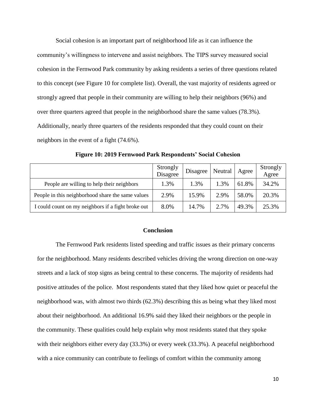Social cohesion is an important part of neighborhood life as it can influence the community's willingness to intervene and assist neighbors. The TIPS survey measured social cohesion in the Fernwood Park community by asking residents a series of three questions related to this concept (see Figure 10 for complete list). Overall, the vast majority of residents agreed or strongly agreed that people in their community are willing to help their neighbors (96%) and over three quarters agreed that people in the neighborhood share the same values (78.3%). Additionally, nearly three quarters of the residents responded that they could count on their neighbors in the event of a fight (74.6%).

|                                                    | Strongly<br>Disagree | Disagree | Neutral | Agree | Strongly<br>Agree |
|----------------------------------------------------|----------------------|----------|---------|-------|-------------------|
| People are willing to help their neighbors         | 1.3%                 | 1.3%     | 1.3%    | 61.8% | 34.2%             |
| People in this neighborhood share the same values  | 2.9%                 | 15.9%    | 2.9%    | 58.0% | 20.3%             |
| I could count on my neighbors if a fight broke out | 8.0%                 | 14.7%    | 2.7%    | 49.3% | 25.3%             |

**Figure 10: 2019 Fernwood Park Respondents' Social Cohesion**

#### **Conclusion**

The Fernwood Park residents listed speeding and traffic issues as their primary concerns for the neighborhood. Many residents described vehicles driving the wrong direction on one-way streets and a lack of stop signs as being central to these concerns. The majority of residents had positive attitudes of the police. Most respondents stated that they liked how quiet or peaceful the neighborhood was, with almost two thirds (62.3%) describing this as being what they liked most about their neighborhood. An additional 16.9% said they liked their neighbors or the people in the community. These qualities could help explain why most residents stated that they spoke with their neighbors either every day  $(33.3%)$  or every week  $(33.3%)$ . A peaceful neighborhood with a nice community can contribute to feelings of comfort within the community among